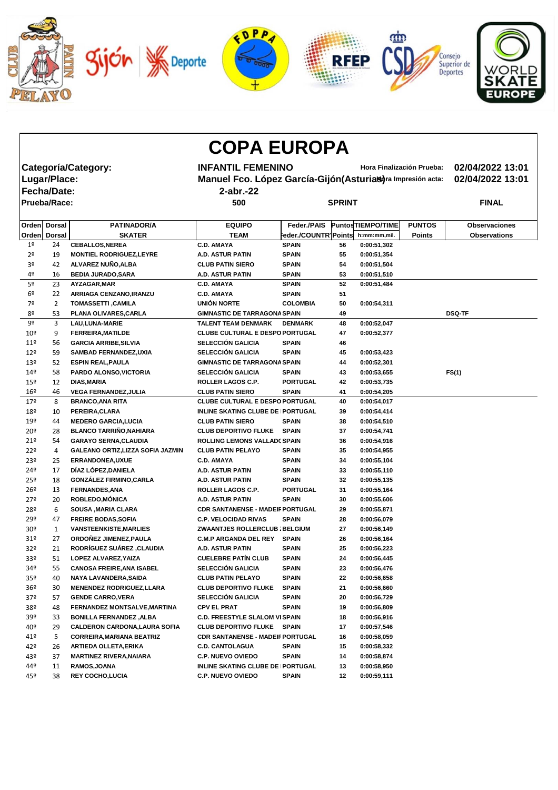

| <b>COPA EUROPA</b> |                     |                                      |                                                              |                      |    |                          |               |                      |  |  |  |  |
|--------------------|---------------------|--------------------------------------|--------------------------------------------------------------|----------------------|----|--------------------------|---------------|----------------------|--|--|--|--|
|                    |                     | Categoría/Category:                  | <b>INFANTIL FEMENINO</b><br>Hora Finalización Prueba:        |                      |    |                          |               | 02/04/2022 13:01     |  |  |  |  |
|                    | Lugar/Place:        |                                      | Manuel Fco. López García-Gijón (Asturias) ra Impresión acta: |                      |    |                          |               | 02/04/2022 13:01     |  |  |  |  |
|                    |                     |                                      |                                                              |                      |    |                          |               |                      |  |  |  |  |
|                    | <b>Fecha/Date:</b>  |                                      | $2$ -abr.-22                                                 |                      |    |                          |               |                      |  |  |  |  |
|                    | <b>Prueba/Race:</b> |                                      | 500                                                          | <b>SPRINT</b>        |    |                          |               | <b>FINAL</b>         |  |  |  |  |
|                    | Orden Dorsal        | <b>PATINADOR/A</b>                   | <b>EQUIPO</b>                                                | Feder./PAIS          |    | <b>PuntosTIEMPO/TIME</b> | <b>PUNTOS</b> | <b>Observaciones</b> |  |  |  |  |
|                    | Orden Dorsal        | <b>SKATER</b>                        | <b>TEAM</b>                                                  | Feder./COUNTR]Points |    | h:mm:mm,mil.             | <b>Points</b> | <b>Observations</b>  |  |  |  |  |
| 1 <sup>°</sup>     | 24                  | <b>CEBALLOS, NEREA</b>               | <b>C.D. AMAYA</b>                                            | <b>SPAIN</b>         | 56 | 0:00:51,302              |               |                      |  |  |  |  |
| 2 <sup>o</sup>     | 19                  | <b>MONTIEL RODRIGUEZ, LEYRE</b>      | <b>A.D. ASTUR PATIN</b>                                      | <b>SPAIN</b>         | 55 | 0:00:51,354              |               |                      |  |  |  |  |
| 3 <sup>o</sup>     | 42                  | ALVAREZ NUÑO, ALBA                   | <b>CLUB PATIN SIERO</b>                                      | <b>SPAIN</b>         | 54 | 0:00:51,504              |               |                      |  |  |  |  |
| 4º                 | 16                  | <b>BEDIA JURADO, SARA</b>            | <b>A.D. ASTUR PATIN</b>                                      | <b>SPAIN</b>         | 53 | 0:00:51,510              |               |                      |  |  |  |  |
| 5 <sup>o</sup>     | 23                  | AYZAGAR, MAR                         | <b>C.D. AMAYA</b>                                            | <b>SPAIN</b>         | 52 | 0:00:51,484              |               |                      |  |  |  |  |
| 6 <sup>°</sup>     | 22                  | ARRIAGA CENZANO, IRANZU              | <b>C.D. AMAYA</b>                                            | <b>SPAIN</b>         | 51 |                          |               |                      |  |  |  |  |
| 7º                 | $\overline{2}$      | <b>TOMASSETTI, CAMILA</b>            | <b>UNIÓN NORTE</b>                                           | <b>COLOMBIA</b>      | 50 | 0:00:54,311              |               |                      |  |  |  |  |
| 8º                 | 53                  | PLANA OLIVARES, CARLA                | <b>GIMNASTIC DE TARRAGONA SPAIN</b>                          |                      | 49 |                          |               | <b>DSQ-TF</b>        |  |  |  |  |
| 9º                 | 3                   | <b>LAU, LUNA-MARIE</b>               | <b>TALENT TEAM DENMARK</b>                                   | <b>DENMARK</b>       | 48 | 0:00:52,047              |               |                      |  |  |  |  |
| $10^{\circ}$       | 9                   | <b>FERREIRA, MATILDE</b>             | <b>CLUBE CULTURAL E DESPO PORTUGAL</b>                       |                      | 47 | 0:00:52,377              |               |                      |  |  |  |  |
| 119                | 56                  | <b>GARCIA ARRIBE, SILVIA</b>         | <b>SELECCIÓN GALICIA</b>                                     | <b>SPAIN</b>         | 46 |                          |               |                      |  |  |  |  |
| 12 <sup>°</sup>    | 59                  | <b>SAMBAD FERNANDEZ, UXIA</b>        | <b>SELECCIÓN GALICIA</b>                                     | <b>SPAIN</b>         | 45 | 0:00:53,423              |               |                      |  |  |  |  |
| 13º                | 52                  | <b>ESPIN REAL, PAULA</b>             | <b>GIMNASTIC DE TARRAGONA SPAIN</b>                          |                      | 44 | 0:00:52,301              |               |                      |  |  |  |  |
| 14 <sup>°</sup>    | 58                  | PARDO ALONSO, VICTORIA               | <b>SELECCIÓN GALICIA</b>                                     | <b>SPAIN</b>         | 43 | 0:00:53,655              |               | FS(1)                |  |  |  |  |
| 15º                | 12                  | <b>DIAS, MARIA</b>                   | <b>ROLLER LAGOS C.P.</b>                                     | <b>PORTUGAL</b>      | 42 | 0:00:53,735              |               |                      |  |  |  |  |
| 16º                | 46                  | <b>VEGA FERNANDEZ, JULIA</b>         | <b>CLUB PATIN SIERO</b>                                      | <b>SPAIN</b>         | 41 | 0:00:54,205              |               |                      |  |  |  |  |
| 179                | 8                   | <b>BRANCO, ANA RITA</b>              | <b>CLUBE CULTURAL E DESPO PORTUGAL</b>                       |                      | 40 | 0:00:54,017              |               |                      |  |  |  |  |
| 18º                | 10                  | PEREIRA, CLARA                       | <b>INLINE SKATING CLUBE DE PORTUGAL</b>                      |                      | 39 | 0:00:54,414              |               |                      |  |  |  |  |
| 19º                | 44                  | <b>MEDERO GARCIA, LUCIA</b>          | <b>CLUB PATIN SIERO</b>                                      | <b>SPAIN</b>         | 38 | 0:00:54,510              |               |                      |  |  |  |  |
| 20º                | 28                  | <b>BLANCO TARRIÑO, NAHIARA</b>       | <b>CLUB DEPORTIVO FLUKE</b>                                  | <b>SPAIN</b>         | 37 | 0:00:54,741              |               |                      |  |  |  |  |
| 21°                | 54                  | <b>GARAYO SERNA, CLAUDIA</b>         | <b>ROLLING LEMONS VALLADC SPAIN</b>                          |                      | 36 | 0:00:54,916              |               |                      |  |  |  |  |
| 22°                | 4                   | GALEANO ORTIZ, LIZZA SOFIA JAZMIN    | <b>CLUB PATIN PELAYO</b>                                     | <b>SPAIN</b>         | 35 | 0:00:54,955              |               |                      |  |  |  |  |
| 23 <sup>°</sup>    | 25                  | <b>ERRANDONEA,UXUE</b>               | <b>C.D. AMAYA</b>                                            | <b>SPAIN</b>         | 34 | 0:00:55,104              |               |                      |  |  |  |  |
| 24º                | 17                  | DÍAZ LÓPEZ, DANIELA                  | A.D. ASTUR PATIN                                             | <b>SPAIN</b>         | 33 | 0:00:55,110              |               |                      |  |  |  |  |
| 25 <sup>°</sup>    | 18                  | <b>GONZÁLEZ FIRMINO, CARLA</b>       | <b>A.D. ASTUR PATIN</b>                                      | <b>SPAIN</b>         | 32 | 0:00:55,135              |               |                      |  |  |  |  |
| $26^{\circ}$       | 13                  | <b>FERNANDES, ANA</b>                | ROLLER LAGOS C.P.                                            | <b>PORTUGAL</b>      | 31 | 0:00:55,164              |               |                      |  |  |  |  |
| 27°                | 20                  | ROBLEDO, MÓNICA                      | A.D. ASTUR PATIN                                             | <b>SPAIN</b>         | 30 | 0:00:55,606              |               |                      |  |  |  |  |
| 28º                | 6                   | <b>SOUSA, MARIA CLARA</b>            | <b>CDR SANTANENSE - MADEIF PORTUGAL</b>                      |                      | 29 | 0:00:55,871              |               |                      |  |  |  |  |
| 29º                | 47                  | <b>FREIRE BODAS, SOFIA</b>           | <b>C.P. VELOCIDAD RIVAS</b>                                  | <b>SPAIN</b>         | 28 | 0:00:56,079              |               |                      |  |  |  |  |
| 30 <sup>°</sup>    | 1                   | <b>VANSTEENKISTE, MARLIES</b>        | ZWAANTJES ROLLERCLUB ; BELGIUM                               |                      | 27 | 0:00:56,149              |               |                      |  |  |  |  |
| 31 <sup>°</sup>    | 27                  | ORDOÑEZ JIMENEZ, PAULA               | <b>C.M.P ARGANDA DEL REY</b>                                 | <b>SPAIN</b>         | 26 | 0:00:56,164              |               |                      |  |  |  |  |
| 32 <sup>o</sup>    | 21                  | RODRÍGUEZ SUÁREZ, CLAUDIA            | A.D. ASTUR PATIN                                             | <b>SPAIN</b>         | 25 | 0:00:56,223              |               |                      |  |  |  |  |
| 33 <sup>o</sup>    | 51                  | LOPEZ ALVAREZ, YAIZA                 | <b>CUELEBRE PATÍN CLUB</b>                                   | <b>SPAIN</b>         | 24 | 0:00:56,445              |               |                      |  |  |  |  |
| 34º                | 55                  | <b>CANOSA FREIRE, ANA ISABEL</b>     | <b>SELECCIÓN GALICIA</b>                                     | <b>SPAIN</b>         | 23 | 0:00:56,476              |               |                      |  |  |  |  |
| 35 <sup>o</sup>    | 40                  | NAYA LAVANDERA, SAIDA                | <b>CLUB PATIN PELAYO</b>                                     | <b>SPAIN</b>         | 22 | 0:00:56,658              |               |                      |  |  |  |  |
| 36 <sup>°</sup>    | 30                  | <b>MENENDEZ RODRIGUEZ, LLARA</b>     | <b>CLUB DEPORTIVO FLUKE</b>                                  | <b>SPAIN</b>         | 21 | 0:00:56,660              |               |                      |  |  |  |  |
| 37 <sup>°</sup>    | 57                  | <b>GENDE CARRO, VERA</b>             | <b>SELECCIÓN GALICIA</b>                                     | <b>SPAIN</b>         | 20 | 0:00:56,729              |               |                      |  |  |  |  |
| 38º                | 48                  | FERNANDEZ MONTSALVE, MARTINA         | <b>CPV EL PRAT</b>                                           | <b>SPAIN</b>         | 19 | 0:00:56,809              |               |                      |  |  |  |  |
| 39º                | 33                  | <b>BONILLA FERNANDEZ, ALBA</b>       | <b>C.D. FREESTYLE SLALOM VISPAIN</b>                         |                      | 18 | 0:00:56,916              |               |                      |  |  |  |  |
| 40º                | 29                  | <b>CALDERON CARDONA, LAURA SOFIA</b> | <b>CLUB DEPORTIVO FLUKE SPAIN</b>                            |                      | 17 | 0:00:57,546              |               |                      |  |  |  |  |
| 41º                | 5                   | <b>CORREIRA, MARIANA BEATRIZ</b>     | <b>CDR SANTANENSE - MADEIF PORTUGAL</b>                      |                      | 16 | 0:00:58,059              |               |                      |  |  |  |  |
| 42°                | 26                  | <b>ARTIEDA OLLETA, ERIKA</b>         | <b>C.D. CANTOLAGUA</b>                                       | <b>SPAIN</b>         | 15 | 0:00:58,332              |               |                      |  |  |  |  |
| 43º                | 37                  | <b>MARTINEZ RIVERA, NAIARA</b>       | <b>C.P. NUEVO OVIEDO</b>                                     | <b>SPAIN</b>         | 14 | 0:00:58,874              |               |                      |  |  |  |  |
| 44º                | 11                  | RAMOS, JOANA                         | INLINE SKATING CLUBE DE PORTUGAL                             |                      | 13 | 0:00:58,950              |               |                      |  |  |  |  |
| 45º                | 38                  | <b>REY COCHO, LUCIA</b>              | <b>C.P. NUEVO OVIEDO</b>                                     | <b>SPAIN</b>         | 12 | 0:00:59,111              |               |                      |  |  |  |  |